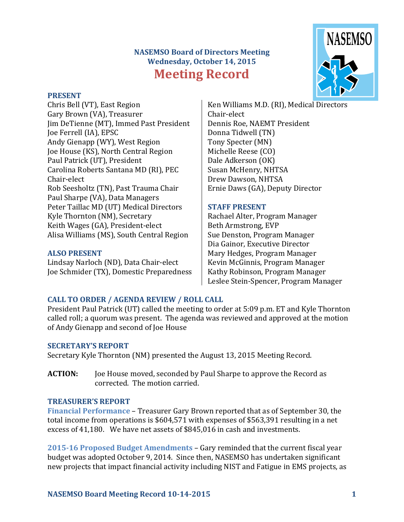# **NASEMSO Board of Directors Meeting Wednesday, October 14, 2015 Meeting Record**



#### **PRESENT**

Chris Bell (VT), East Region Gary Brown (VA), Treasurer Jim DeTienne (MT), Immed Past President Joe Ferrell (IA), EPSC Andy Gienapp (WY), West Region Joe House (KS), North Central Region Paul Patrick (UT), President Carolina Roberts Santana MD (RI), PEC Chair-elect Rob Seesholtz (TN), Past Trauma Chair Paul Sharpe (VA), Data Managers Peter Taillac MD (UT) Medical Directors Kyle Thornton (NM), Secretary Keith Wages (GA), President-elect Alisa Williams (MS), South Central Region

#### **ALSO PRESENT**

Lindsay Narloch (ND), Data Chair-elect Joe Schmider (TX), Domestic Preparedness

Ken Williams M.D. (RI), Medical Directors Chair-elect Dennis Roe, NAEMT President Donna Tidwell (TN) Tony Specter (MN) Michelle Reese (CO) Dale Adkerson (OK) Susan McHenry, NHTSA Drew Dawson, NHTSA Ernie Daws (GA), Deputy Director

#### **STAFF PRESENT**

Rachael Alter, Program Manager Beth Armstrong, EVP Sue Denston, Program Manager Dia Gainor, Executive Director Mary Hedges, Program Manager Kevin McGinnis, Program Manager Kathy Robinson, Program Manager Leslee Stein-Spencer, Program Manager

## **CALL TO ORDER / AGENDA REVIEW / ROLL CALL**

President Paul Patrick (UT) called the meeting to order at 5:09 p.m. ET and Kyle Thornton called roll; a quorum was present. The agenda was reviewed and approved at the motion of Andy Gienapp and second of Joe House

#### **SECRETARY'S REPORT**

Secretary Kyle Thornton (NM) presented the August 13, 2015 Meeting Record.

**ACTION:** Joe House moved, seconded by Paul Sharpe to approve the Record as corrected. The motion carried.

#### **TREASURER'S REPORT**

**Financial Performance** – Treasurer Gary Brown reported that as of September 30, the total income from operations is \$604,571 with expenses of \$563,391 resulting in a net excess of 41,180. We have net assets of \$845,016 in cash and investments.

**2015-16 Proposed Budget Amendments** – Gary reminded that the current fiscal year budget was adopted October 9, 2014. Since then, NASEMSO has undertaken significant new projects that impact financial activity including NIST and Fatigue in EMS projects, as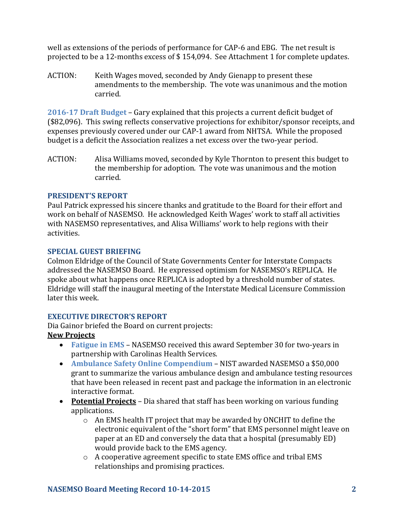well as extensions of the periods of performance for CAP-6 and EBG. The net result is projected to be a 12-months excess of \$ 154,094. See Attachment 1 for complete updates.

ACTION: Keith Wages moved, seconded by Andy Gienapp to present these amendments to the membership. The vote was unanimous and the motion carried.

**2016-17 Draft Budget** – Gary explained that this projects a current deficit budget of (\$82,096). This swing reflects conservative projections for exhibitor/sponsor receipts, and expenses previously covered under our CAP-1 award from NHTSA. While the proposed budget is a deficit the Association realizes a net excess over the two-year period.

ACTION: Alisa Williams moved, seconded by Kyle Thornton to present this budget to the membership for adoption. The vote was unanimous and the motion carried.

## **PRESIDENT'S REPORT**

Paul Patrick expressed his sincere thanks and gratitude to the Board for their effort and work on behalf of NASEMSO. He acknowledged Keith Wages' work to staff all activities with NASEMSO representatives, and Alisa Williams' work to help regions with their activities.

#### **SPECIAL GUEST BRIEFING**

Colmon Eldridge of the Council of State Governments Center for Interstate Compacts addressed the NASEMSO Board. He expressed optimism for NASEMSO's REPLICA. He spoke about what happens once REPLICA is adopted by a threshold number of states. Eldridge will staff the inaugural meeting of the Interstate Medical Licensure Commission later this week.

## **EXECUTIVE DIRECTOR'S REPORT**

Dia Gainor briefed the Board on current projects:

## **New Projects**

- **Fatigue in EMS** NASEMSO received this award September 30 for two-years in partnership with Carolinas Health Services.
- **Ambulance Safety Online Compendium** NIST awarded NASEMSO a \$50,000 grant to summarize the various ambulance design and ambulance testing resources that have been released in recent past and package the information in an electronic interactive format.
- **Potential Projects** Dia shared that staff has been working on various funding applications.
	- $\circ$  An EMS health IT project that may be awarded by ONCHIT to define the electronic equivalent of the "short form" that EMS personnel might leave on paper at an ED and conversely the data that a hospital (presumably ED) would provide back to the EMS agency.
	- o A cooperative agreement specific to state EMS office and tribal EMS relationships and promising practices.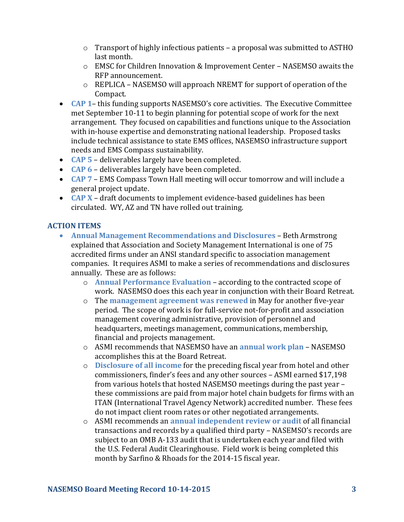- o Transport of highly infectious patients a proposal was submitted to ASTHO last month.
- o EMSC for Children Innovation & Improvement Center NASEMSO awaits the RFP announcement.
- o REPLICA NASEMSO will approach NREMT for support of operation of the Compact.
- **CAP 1** this funding supports NASEMSO's core activities. The Executive Committee met September 10-11 to begin planning for potential scope of work for the next arrangement. They focused on capabilities and functions unique to the Association with in-house expertise and demonstrating national leadership. Proposed tasks include technical assistance to state EMS offices, NASEMSO infrastructure support needs and EMS Compass sustainability.
- **CAP 5**  deliverables largely have been completed.
- **CAP 6**  deliverables largely have been completed.
- **CAP 7**  EMS Compass Town Hall meeting will occur tomorrow and will include a general project update.
- **CAP X** draft documents to implement evidence-based guidelines has been circulated. WY, AZ and TN have rolled out training.

## **ACTION ITEMS**

- **Annual Management Recommendations and Disclosures** Beth Armstrong explained that Association and Society Management International is one of 75 accredited firms under an ANSI standard specific to association management companies. It requires ASMI to make a series of recommendations and disclosures annually. These are as follows:
	- o **Annual Performance Evaluation**  according to the contracted scope of work. NASEMSO does this each year in conjunction with their Board Retreat.
	- o The **management agreement was renewed** in May for another five-year period. The scope of work is for full-service not-for-profit and association management covering administrative, provision of personnel and headquarters, meetings management, communications, membership, financial and projects management.
	- o ASMI recommends that NASEMSO have an **annual work plan** NASEMSO accomplishes this at the Board Retreat.
	- o **Disclosure of all income** for the preceding fiscal year from hotel and other commissioners, finder's fees and any other sources – ASMI earned \$17,198 from various hotels that hosted NASEMSO meetings during the past year – these commissions are paid from major hotel chain budgets for firms with an ITAN (International Travel Agency Network) accredited number. These fees do not impact client room rates or other negotiated arrangements.
	- o ASMI recommends an **annual independent review or audit** of all financial transactions and records by a qualified third party – NASEMSO's records are subject to an OMB A-133 audit that is undertaken each year and filed with the U.S. Federal Audit Clearinghouse. Field work is being completed this month by Sarfino & Rhoads for the 2014-15 fiscal year.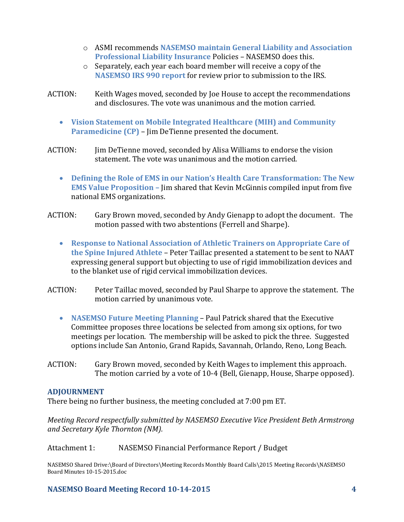- o ASMI recommends **NASEMSO maintain General Liability and Association Professional Liability Insurance** Policies – NASEMSO does this.
- o Separately, each year each board member will receive a copy of the **NASEMSO IRS 990 report** for review prior to submission to the IRS.
- ACTION: Keith Wages moved, seconded by Joe House to accept the recommendations and disclosures. The vote was unanimous and the motion carried.
	- **Vision Statement on Mobile Integrated Healthcare (MIH) and Community Paramedicine (CP)** – Jim DeTienne presented the document.
- ACTION: Jim DeTienne moved, seconded by Alisa Williams to endorse the vision statement. The vote was unanimous and the motion carried.
	- **Defining the Role of EMS in our Nation's Health Care Transformation: The New EMS Value Proposition –** Jim shared that Kevin McGinnis compiled input from five national EMS organizations.
- ACTION: Gary Brown moved, seconded by Andy Gienapp to adopt the document. The motion passed with two abstentions (Ferrell and Sharpe).
	- **Response to National Association of Athletic Trainers on Appropriate Care of the Spine Injured Athlete** – Peter Taillac presented a statement to be sent to NAAT expressing general support but objecting to use of rigid immobilization devices and to the blanket use of rigid cervical immobilization devices.
- ACTION: Peter Taillac moved, seconded by Paul Sharpe to approve the statement. The motion carried by unanimous vote.
	- **NASEMSO Future Meeting Planning** Paul Patrick shared that the Executive Committee proposes three locations be selected from among six options, for two meetings per location. The membership will be asked to pick the three. Suggested options include San Antonio, Grand Rapids, Savannah, Orlando, Reno, Long Beach.
- ACTION: Gary Brown moved, seconded by Keith Wages to implement this approach. The motion carried by a vote of 10-4 (Bell, Gienapp, House, Sharpe opposed).

## **ADJOURNMENT**

There being no further business, the meeting concluded at 7:00 pm ET.

*Meeting Record respectfully submitted by NASEMSO Executive Vice President Beth Armstrong and Secretary Kyle Thornton (NM).*

Attachment 1: NASEMSO Financial Performance Report / Budget

NASEMSO Shared Drive:\Board of Directors\Meeting Records Monthly Board Calls\2015 Meeting Records\NASEMSO Board Minutes 10-15-2015.doc

## **NASEMSO Board Meeting Record 10-14-2015 4**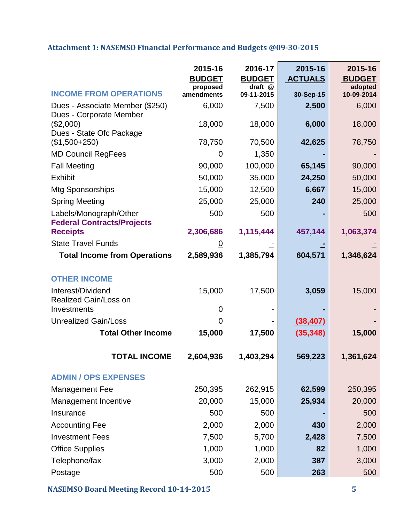## **Attachment 1: NASEMSO Financial Performance and Budgets @09-30-2015**

|                                                                  | 2015-16<br><b>BUDGET</b> | 2016-17<br><b>BUDGET</b> | 2015-16<br><u>ACTUALS</u> | 2015-16<br><b>BUDGET</b> |
|------------------------------------------------------------------|--------------------------|--------------------------|---------------------------|--------------------------|
| <b>INCOME FROM OPERATIONS</b>                                    | proposed<br>amendments   | draft @<br>09-11-2015    | 30-Sep-15                 | adopted<br>10-09-2014    |
| Dues - Associate Member (\$250)                                  | 6,000                    | 7,500                    | 2,500                     | 6,000                    |
| Dues - Corporate Member<br>(\$2,000)<br>Dues - State Ofc Package | 18,000                   | 18,000                   | 6,000                     | 18,000                   |
| $($1,500+250)$                                                   | 78,750                   | 70,500                   | 42,625                    | 78,750                   |
| <b>MD Council RegFees</b>                                        | 0                        | 1,350                    |                           |                          |
| <b>Fall Meeting</b>                                              | 90,000                   | 100,000                  | 65,145                    | 90,000                   |
| <b>Exhibit</b>                                                   | 50,000                   | 35,000                   | 24,250                    | 50,000                   |
| <b>Mtg Sponsorships</b>                                          | 15,000                   | 12,500                   | 6,667                     | 15,000                   |
| <b>Spring Meeting</b>                                            | 25,000                   | 25,000                   | 240                       | 25,000                   |
| Labels/Monograph/Other<br><b>Federal Contracts/Projects</b>      | 500                      | 500                      |                           | 500                      |
| <b>Receipts</b>                                                  | 2,306,686                | 1,115,444                | 457,144                   | 1,063,374                |
| <b>State Travel Funds</b>                                        | 0                        |                          |                           |                          |
| <b>Total Income from Operations</b>                              | 2,589,936                | 1,385,794                | 604,571                   | 1,346,624                |
| <b>OTHER INCOME</b>                                              |                          |                          |                           |                          |
| Interest/Dividend<br>Realized Gain/Loss on                       | 15,000                   | 17,500                   | 3,059                     | 15,000                   |
| Investments                                                      | 0                        |                          |                           |                          |
| <b>Unrealized Gain/Loss</b>                                      | $\overline{0}$           |                          | (38, 407)                 |                          |
| <b>Total Other Income</b>                                        | 15,000                   | 17,500                   | (35, 348)                 | 15,000                   |
| <b>TOTAL INCOME</b>                                              | 2,604,936                | 1,403,294                | 569,223                   | 1,361,624                |
| <b>ADMIN / OPS EXPENSES</b>                                      |                          |                          |                           |                          |
| <b>Management Fee</b>                                            | 250,395                  | 262,915                  | 62,599                    | 250,395                  |
| Management Incentive                                             | 20,000                   | 15,000                   | 25,934                    | 20,000                   |
| Insurance                                                        | 500                      | 500                      |                           | 500                      |
| <b>Accounting Fee</b>                                            | 2,000                    | 2,000                    | 430                       | 2,000                    |
| <b>Investment Fees</b>                                           | 7,500                    | 5,700                    | 2,428                     | 7,500                    |
| <b>Office Supplies</b>                                           | 1,000                    | 1,000                    | 82                        | 1,000                    |
| Telephone/fax                                                    | 3,000                    | 2,000                    | 387                       | 3,000                    |
| Postage                                                          | 500                      | 500                      | 263                       | 500                      |

**NASEMSO Board Meeting Record 10-14-2015 5**